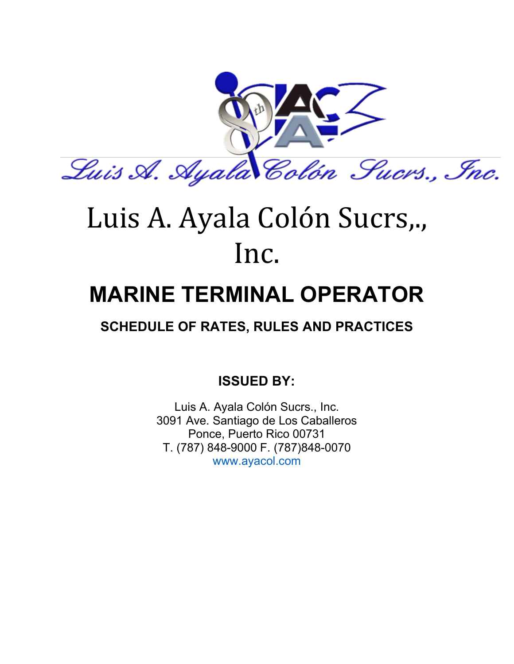

# Luis A. Ayala Colón Sucrs,., Inc.

# **MARINE TERMINAL OPERATOR**

## **SCHEDULE OF RATES, RULES AND PRACTICES**

**ISSUED BY:**

Luis A. Ayala Colón Sucrs., Inc. 3091 Ave. Santiago de Los Caballeros Ponce, Puerto Rico 00731 T. (787) 848-9000 F. (787)848-0070 www.ayacol.com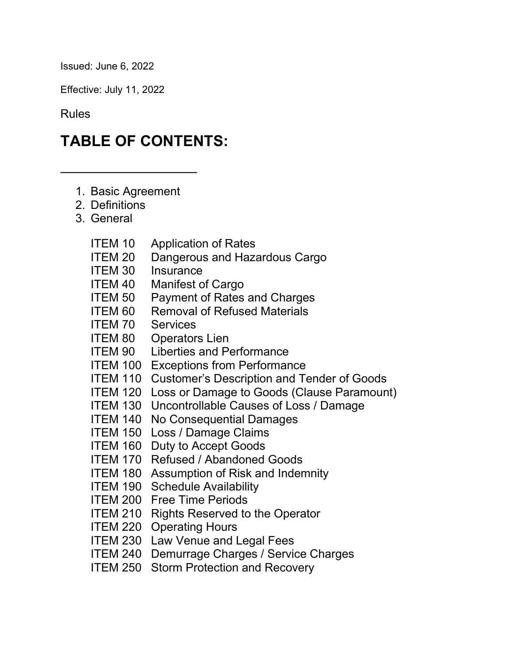Issued: June 6, 2022

Effective: July 11, 2022

Rules

## **TABLE OF CONTENTS:**

- 1. Basic Agreement
- 2. Definitions
- 3. General
	- ITEM 10 Application of Rates
	- ITEM 20 Dangerous and Hazardous Cargo
	- ITEM 30 Insurance
	- ITEM 40 Manifest of Cargo
	- ITEM 50 Payment of Rates and Charges
	- ITEM 60 Removal of Refused Materials
	- ITEM 70 Services
	- ITEM 80 Operators Lien
	- ITEM 90 Liberties and Performance
	- ITEM 100 Exceptions from Performance
	- ITEM 110 Customer's Description and Tender of Goods
	- ITEM 120 Loss or Damage to Goods (Clause Paramount)
	- ITEM 130 Uncontrollable Causes of Loss / Damage
	- ITEM 140 No Consequential Damages
	- ITEM 150 Loss / Damage Claims
	- ITEM 160 Duty to Accept Goods
	- ITEM 170 Refused / Abandoned Goods
	- ITEM 180 Assumption of Risk and Indemnity
	- ITEM 190 Schedule Availability
	- ITEM 200 Free Time Periods
	- ITEM 210 Rights Reserved to the Operator
	- ITEM 220 Operating Hours
	- ITEM 230 Law Venue and Legal Fees
	- ITEM 240 Demurrage Charges / Service Charges
	- ITEM 250 Storm Protection and Recovery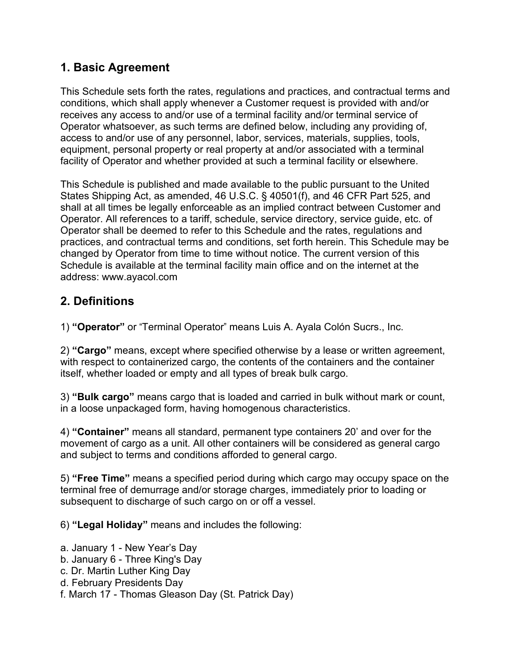#### **1. Basic Agreement**

This Schedule sets forth the rates, regulations and practices, and contractual terms and conditions, which shall apply whenever a Customer request is provided with and/or receives any access to and/or use of a terminal facility and/or terminal service of Operator whatsoever, as such terms are defined below, including any providing of, access to and/or use of any personnel, labor, services, materials, supplies, tools, equipment, personal property or real property at and/or associated with a terminal facility of Operator and whether provided at such a terminal facility or elsewhere.

This Schedule is published and made available to the public pursuant to the United States Shipping Act, as amended, 46 U.S.C. § 40501(f), and 46 CFR Part 525, and shall at all times be legally enforceable as an implied contract between Customer and Operator. All references to a tariff, schedule, service directory, service guide, etc. of Operator shall be deemed to refer to this Schedule and the rates, regulations and practices, and contractual terms and conditions, set forth herein. This Schedule may be changed by Operator from time to time without notice. The current version of this Schedule is available at the terminal facility main office and on the internet at the address: www.ayacol.com

#### **2. Definitions**

1) **"Operator"** or "Terminal Operator" means Luis A. Ayala Colón Sucrs., Inc.

2) **"Cargo"** means, except where specified otherwise by a lease or written agreement, with respect to containerized cargo, the contents of the containers and the container itself, whether loaded or empty and all types of break bulk cargo.

3) **"Bulk cargo"** means cargo that is loaded and carried in bulk without mark or count, in a loose unpackaged form, having homogenous characteristics.

4) **"Container"** means all standard, permanent type containers 20' and over for the movement of cargo as a unit. All other containers will be considered as general cargo and subject to terms and conditions afforded to general cargo.

5) **"Free Time"** means a specified period during which cargo may occupy space on the terminal free of demurrage and/or storage charges, immediately prior to loading or subsequent to discharge of such cargo on or off a vessel.

6) **"Legal Holiday"** means and includes the following:

a. January 1 - New Year's Day

- b. January 6 Three King's Day
- c. Dr. Martin Luther King Day
- d. February Presidents Day
- f. March 17 Thomas Gleason Day (St. Patrick Day)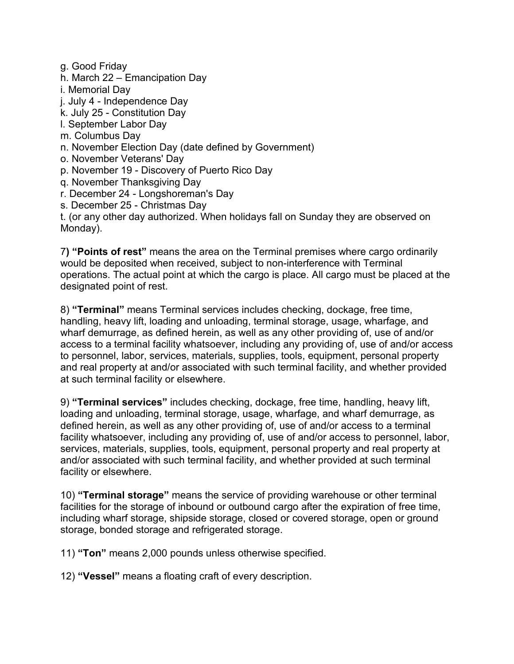g. Good Friday h. March 22 – Emancipation Day i. Memorial Day j. July 4 - Independence Day k. July 25 - Constitution Day l. September Labor Day m. Columbus Day n. November Election Day (date defined by Government) o. November Veterans' Day p. November 19 - Discovery of Puerto Rico Day q. November Thanksgiving Day r. December 24 - Longshoreman's Day s. December 25 - Christmas Day t. (or any other day authorized. When holidays fall on Sunday they are observed on Monday).

7**) "Points of rest"** means the area on the Terminal premises where cargo ordinarily would be deposited when received, subject to non-interference with Terminal operations. The actual point at which the cargo is place. All cargo must be placed at the designated point of rest.

8) **"Terminal"** means Terminal services includes checking, dockage, free time, handling, heavy lift, loading and unloading, terminal storage, usage, wharfage, and wharf demurrage, as defined herein, as well as any other providing of, use of and/or access to a terminal facility whatsoever, including any providing of, use of and/or access to personnel, labor, services, materials, supplies, tools, equipment, personal property and real property at and/or associated with such terminal facility, and whether provided at such terminal facility or elsewhere.

9) **"Terminal services"** includes checking, dockage, free time, handling, heavy lift, loading and unloading, terminal storage, usage, wharfage, and wharf demurrage, as defined herein, as well as any other providing of, use of and/or access to a terminal facility whatsoever, including any providing of, use of and/or access to personnel, labor, services, materials, supplies, tools, equipment, personal property and real property at and/or associated with such terminal facility, and whether provided at such terminal facility or elsewhere.

10) **"Terminal storage"** means the service of providing warehouse or other terminal facilities for the storage of inbound or outbound cargo after the expiration of free time, including wharf storage, shipside storage, closed or covered storage, open or ground storage, bonded storage and refrigerated storage.

11) **"Ton"** means 2,000 pounds unless otherwise specified.

12) **"Vessel"** means a floating craft of every description.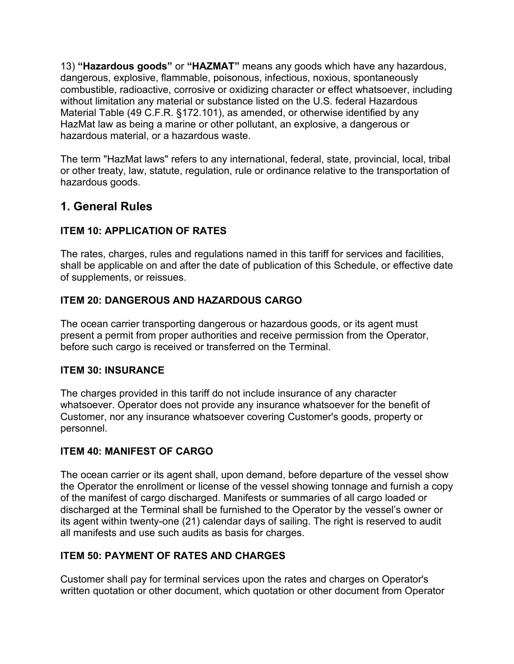13) **"Hazardous goods"** or **"HAZMAT"** means any goods which have any hazardous, dangerous, explosive, flammable, poisonous, infectious, noxious, spontaneously combustible, radioactive, corrosive or oxidizing character or effect whatsoever, including without limitation any material or substance listed on the U.S. federal Hazardous Material Table (49 C.F.R. §172.101), as amended, or otherwise identified by any HazMat law as being a marine or other pollutant, an explosive, a dangerous or hazardous material, or a hazardous waste.

The term "HazMat laws" refers to any international, federal, state, provincial, local, tribal or other treaty, law, statute, regulation, rule or ordinance relative to the transportation of hazardous goods.

#### **1. General Rules**

#### **ITEM 10: APPLICATION OF RATES**

The rates, charges, rules and regulations named in this tariff for services and facilities, shall be applicable on and after the date of publication of this Schedule, or effective date of supplements, or reissues.

#### **ITEM 20: DANGEROUS AND HAZARDOUS CARGO**

The ocean carrier transporting dangerous or hazardous goods, or its agent must present a permit from proper authorities and receive permission from the Operator, before such cargo is received or transferred on the Terminal.

#### **ITEM 30: INSURANCE**

The charges provided in this tariff do not include insurance of any character whatsoever. Operator does not provide any insurance whatsoever for the benefit of Customer, nor any insurance whatsoever covering Customer's goods, property or personnel.

#### **ITEM 40: MANIFEST OF CARGO**

The ocean carrier or its agent shall, upon demand, before departure of the vessel show the Operator the enrollment or license of the vessel showing tonnage and furnish a copy of the manifest of cargo discharged. Manifests or summaries of all cargo loaded or discharged at the Terminal shall be furnished to the Operator by the vessel's owner or its agent within twenty-one (21) calendar days of sailing. The right is reserved to audit all manifests and use such audits as basis for charges.

#### **ITEM 50: PAYMENT OF RATES AND CHARGES**

Customer shall pay for terminal services upon the rates and charges on Operator's written quotation or other document, which quotation or other document from Operator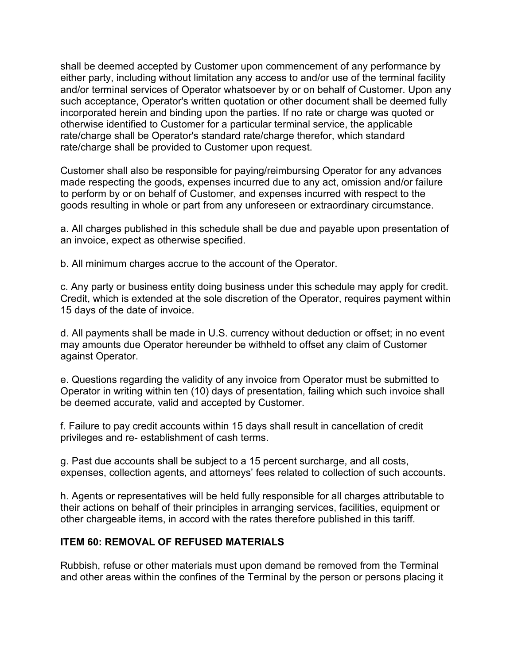shall be deemed accepted by Customer upon commencement of any performance by either party, including without limitation any access to and/or use of the terminal facility and/or terminal services of Operator whatsoever by or on behalf of Customer. Upon any such acceptance, Operator's written quotation or other document shall be deemed fully incorporated herein and binding upon the parties. If no rate or charge was quoted or otherwise identified to Customer for a particular terminal service, the applicable rate/charge shall be Operator's standard rate/charge therefor, which standard rate/charge shall be provided to Customer upon request.

Customer shall also be responsible for paying/reimbursing Operator for any advances made respecting the goods, expenses incurred due to any act, omission and/or failure to perform by or on behalf of Customer, and expenses incurred with respect to the goods resulting in whole or part from any unforeseen or extraordinary circumstance.

a. All charges published in this schedule shall be due and payable upon presentation of an invoice, expect as otherwise specified.

b. All minimum charges accrue to the account of the Operator.

c. Any party or business entity doing business under this schedule may apply for credit. Credit, which is extended at the sole discretion of the Operator, requires payment within 15 days of the date of invoice.

d. All payments shall be made in U.S. currency without deduction or offset; in no event may amounts due Operator hereunder be withheld to offset any claim of Customer against Operator.

e. Questions regarding the validity of any invoice from Operator must be submitted to Operator in writing within ten (10) days of presentation, failing which such invoice shall be deemed accurate, valid and accepted by Customer.

f. Failure to pay credit accounts within 15 days shall result in cancellation of credit privileges and re- establishment of cash terms.

g. Past due accounts shall be subject to a 15 percent surcharge, and all costs, expenses, collection agents, and attorneys' fees related to collection of such accounts.

h. Agents or representatives will be held fully responsible for all charges attributable to their actions on behalf of their principles in arranging services, facilities, equipment or other chargeable items, in accord with the rates therefore published in this tariff.

#### **ITEM 60: REMOVAL OF REFUSED MATERIALS**

Rubbish, refuse or other materials must upon demand be removed from the Terminal and other areas within the confines of the Terminal by the person or persons placing it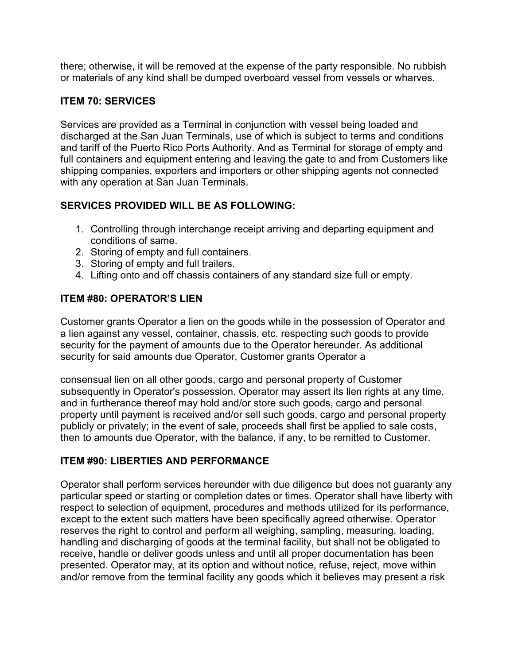there; otherwise, it will be removed at the expense of the party responsible. No rubbish or materials of any kind shall be dumped overboard vessel from vessels or wharves.

#### **ITEM 70: SERVICES**

Services are provided as a Terminal in conjunction with vessel being loaded and discharged at the San Juan Terminals, use of which is subject to terms and conditions and tariff of the Puerto Rico Ports Authority. And as Terminal for storage of empty and full containers and equipment entering and leaving the gate to and from Customers like shipping companies, exporters and importers or other shipping agents not connected with any operation at San Juan Terminals.

#### **SERVICES PROVIDED WILL BE AS FOLLOWING:**

- 1. Controlling through interchange receipt arriving and departing equipment and conditions of same.
- 2. Storing of empty and full containers.
- 3. Storing of empty and full trailers.
- 4. Lifting onto and off chassis containers of any standard size full or empty.

#### **ITEM #80: OPERATOR'S LIEN**

Customer grants Operator a lien on the goods while in the possession of Operator and a lien against any vessel, container, chassis, etc. respecting such goods to provide security for the payment of amounts due to the Operator hereunder. As additional security for said amounts due Operator, Customer grants Operator a

consensual lien on all other goods, cargo and personal property of Customer subsequently in Operator's possession. Operator may assert its lien rights at any time, and in furtherance thereof may hold and/or store such goods, cargo and personal property until payment is received and/or sell such goods, cargo and personal property publicly or privately; in the event of sale, proceeds shall first be applied to sale costs, then to amounts due Operator, with the balance, if any, to be remitted to Customer.

#### **ITEM #90: LIBERTIES AND PERFORMANCE**

Operator shall perform services hereunder with due diligence but does not guaranty any particular speed or starting or completion dates or times. Operator shall have liberty with respect to selection of equipment, procedures and methods utilized for its performance, except to the extent such matters have been specifically agreed otherwise. Operator reserves the right to control and perform all weighing, sampling, measuring, loading, handling and discharging of goods at the terminal facility, but shall not be obligated to receive, handle or deliver goods unless and until all proper documentation has been presented. Operator may, at its option and without notice, refuse, reject, move within and/or remove from the terminal facility any goods which it believes may present a risk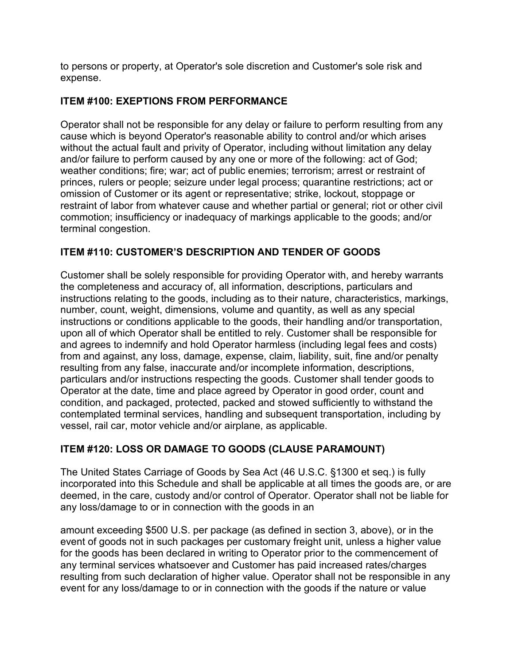to persons or property, at Operator's sole discretion and Customer's sole risk and expense.

#### **ITEM #100: EXEPTIONS FROM PERFORMANCE**

Operator shall not be responsible for any delay or failure to perform resulting from any cause which is beyond Operator's reasonable ability to control and/or which arises without the actual fault and privity of Operator, including without limitation any delay and/or failure to perform caused by any one or more of the following: act of God; weather conditions; fire; war; act of public enemies; terrorism; arrest or restraint of princes, rulers or people; seizure under legal process; quarantine restrictions; act or omission of Customer or its agent or representative; strike, lockout, stoppage or restraint of labor from whatever cause and whether partial or general; riot or other civil commotion; insufficiency or inadequacy of markings applicable to the goods; and/or terminal congestion.

#### **ITEM #110: CUSTOMER'S DESCRIPTION AND TENDER OF GOODS**

Customer shall be solely responsible for providing Operator with, and hereby warrants the completeness and accuracy of, all information, descriptions, particulars and instructions relating to the goods, including as to their nature, characteristics, markings, number, count, weight, dimensions, volume and quantity, as well as any special instructions or conditions applicable to the goods, their handling and/or transportation, upon all of which Operator shall be entitled to rely. Customer shall be responsible for and agrees to indemnify and hold Operator harmless (including legal fees and costs) from and against, any loss, damage, expense, claim, liability, suit, fine and/or penalty resulting from any false, inaccurate and/or incomplete information, descriptions, particulars and/or instructions respecting the goods. Customer shall tender goods to Operator at the date, time and place agreed by Operator in good order, count and condition, and packaged, protected, packed and stowed sufficiently to withstand the contemplated terminal services, handling and subsequent transportation, including by vessel, rail car, motor vehicle and/or airplane, as applicable.

#### **ITEM #120: LOSS OR DAMAGE TO GOODS (CLAUSE PARAMOUNT)**

The United States Carriage of Goods by Sea Act (46 U.S.C. §1300 et seq.) is fully incorporated into this Schedule and shall be applicable at all times the goods are, or are deemed, in the care, custody and/or control of Operator. Operator shall not be liable for any loss/damage to or in connection with the goods in an

amount exceeding \$500 U.S. per package (as defined in section 3, above), or in the event of goods not in such packages per customary freight unit, unless a higher value for the goods has been declared in writing to Operator prior to the commencement of any terminal services whatsoever and Customer has paid increased rates/charges resulting from such declaration of higher value. Operator shall not be responsible in any event for any loss/damage to or in connection with the goods if the nature or value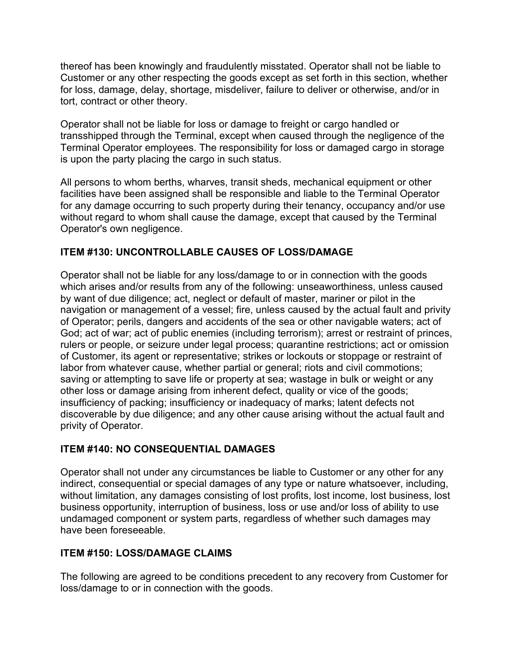thereof has been knowingly and fraudulently misstated. Operator shall not be liable to Customer or any other respecting the goods except as set forth in this section, whether for loss, damage, delay, shortage, misdeliver, failure to deliver or otherwise, and/or in tort, contract or other theory.

Operator shall not be liable for loss or damage to freight or cargo handled or transshipped through the Terminal, except when caused through the negligence of the Terminal Operator employees. The responsibility for loss or damaged cargo in storage is upon the party placing the cargo in such status.

All persons to whom berths, wharves, transit sheds, mechanical equipment or other facilities have been assigned shall be responsible and liable to the Terminal Operator for any damage occurring to such property during their tenancy, occupancy and/or use without regard to whom shall cause the damage, except that caused by the Terminal Operator's own negligence.

#### **ITEM #130: UNCONTROLLABLE CAUSES OF LOSS/DAMAGE**

Operator shall not be liable for any loss/damage to or in connection with the goods which arises and/or results from any of the following: unseaworthiness, unless caused by want of due diligence; act, neglect or default of master, mariner or pilot in the navigation or management of a vessel; fire, unless caused by the actual fault and privity of Operator; perils, dangers and accidents of the sea or other navigable waters; act of God; act of war; act of public enemies (including terrorism); arrest or restraint of princes, rulers or people, or seizure under legal process; quarantine restrictions; act or omission of Customer, its agent or representative; strikes or lockouts or stoppage or restraint of labor from whatever cause, whether partial or general; riots and civil commotions; saving or attempting to save life or property at sea; wastage in bulk or weight or any other loss or damage arising from inherent defect, quality or vice of the goods; insufficiency of packing; insufficiency or inadequacy of marks; latent defects not discoverable by due diligence; and any other cause arising without the actual fault and privity of Operator.

#### **ITEM #140: NO CONSEQUENTIAL DAMAGES**

Operator shall not under any circumstances be liable to Customer or any other for any indirect, consequential or special damages of any type or nature whatsoever, including, without limitation, any damages consisting of lost profits, lost income, lost business, lost business opportunity, interruption of business, loss or use and/or loss of ability to use undamaged component or system parts, regardless of whether such damages may have been foreseeable.

#### **ITEM #150: LOSS/DAMAGE CLAIMS**

The following are agreed to be conditions precedent to any recovery from Customer for loss/damage to or in connection with the goods.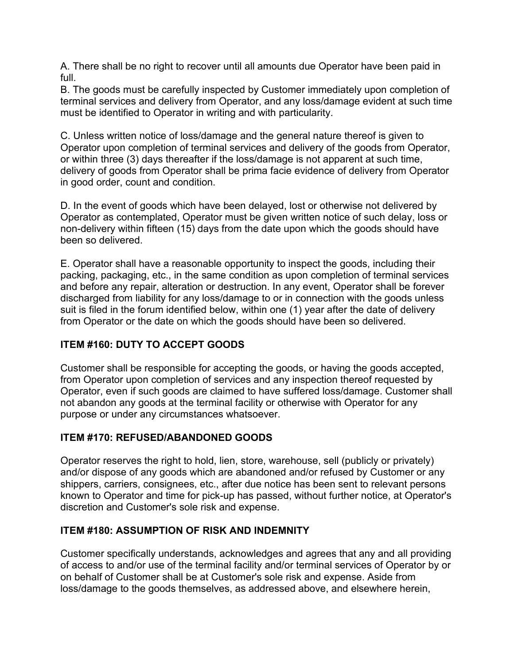A. There shall be no right to recover until all amounts due Operator have been paid in full.

B. The goods must be carefully inspected by Customer immediately upon completion of terminal services and delivery from Operator, and any loss/damage evident at such time must be identified to Operator in writing and with particularity.

C. Unless written notice of loss/damage and the general nature thereof is given to Operator upon completion of terminal services and delivery of the goods from Operator, or within three (3) days thereafter if the loss/damage is not apparent at such time, delivery of goods from Operator shall be prima facie evidence of delivery from Operator in good order, count and condition.

D. In the event of goods which have been delayed, lost or otherwise not delivered by Operator as contemplated, Operator must be given written notice of such delay, loss or non-delivery within fifteen (15) days from the date upon which the goods should have been so delivered.

E. Operator shall have a reasonable opportunity to inspect the goods, including their packing, packaging, etc., in the same condition as upon completion of terminal services and before any repair, alteration or destruction. In any event, Operator shall be forever discharged from liability for any loss/damage to or in connection with the goods unless suit is filed in the forum identified below, within one (1) year after the date of delivery from Operator or the date on which the goods should have been so delivered.

#### **ITEM #160: DUTY TO ACCEPT GOODS**

Customer shall be responsible for accepting the goods, or having the goods accepted, from Operator upon completion of services and any inspection thereof requested by Operator, even if such goods are claimed to have suffered loss/damage. Customer shall not abandon any goods at the terminal facility or otherwise with Operator for any purpose or under any circumstances whatsoever.

#### **ITEM #170: REFUSED/ABANDONED GOODS**

Operator reserves the right to hold, lien, store, warehouse, sell (publicly or privately) and/or dispose of any goods which are abandoned and/or refused by Customer or any shippers, carriers, consignees, etc., after due notice has been sent to relevant persons known to Operator and time for pick-up has passed, without further notice, at Operator's discretion and Customer's sole risk and expense.

#### **ITEM #180: ASSUMPTION OF RISK AND INDEMNITY**

Customer specifically understands, acknowledges and agrees that any and all providing of access to and/or use of the terminal facility and/or terminal services of Operator by or on behalf of Customer shall be at Customer's sole risk and expense. Aside from loss/damage to the goods themselves, as addressed above, and elsewhere herein,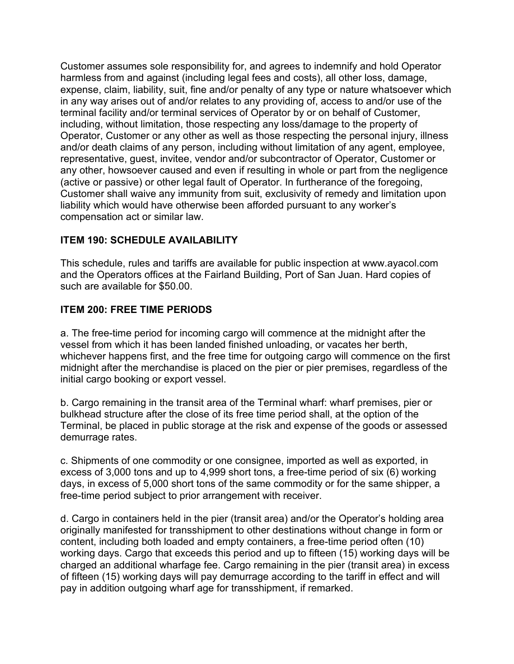Customer assumes sole responsibility for, and agrees to indemnify and hold Operator harmless from and against (including legal fees and costs), all other loss, damage, expense, claim, liability, suit, fine and/or penalty of any type or nature whatsoever which in any way arises out of and/or relates to any providing of, access to and/or use of the terminal facility and/or terminal services of Operator by or on behalf of Customer, including, without limitation, those respecting any loss/damage to the property of Operator, Customer or any other as well as those respecting the personal injury, illness and/or death claims of any person, including without limitation of any agent, employee, representative, guest, invitee, vendor and/or subcontractor of Operator, Customer or any other, howsoever caused and even if resulting in whole or part from the negligence (active or passive) or other legal fault of Operator. In furtherance of the foregoing, Customer shall waive any immunity from suit, exclusivity of remedy and limitation upon liability which would have otherwise been afforded pursuant to any worker's compensation act or similar law.

#### **ITEM 190: SCHEDULE AVAILABILITY**

This schedule, rules and tariffs are available for public inspection at www.ayacol.com and the Operators offices at the Fairland Building, Port of San Juan. Hard copies of such are available for \$50.00.

#### **ITEM 200: FREE TIME PERIODS**

a. The free-time period for incoming cargo will commence at the midnight after the vessel from which it has been landed finished unloading, or vacates her berth, whichever happens first, and the free time for outgoing cargo will commence on the first midnight after the merchandise is placed on the pier or pier premises, regardless of the initial cargo booking or export vessel.

b. Cargo remaining in the transit area of the Terminal wharf: wharf premises, pier or bulkhead structure after the close of its free time period shall, at the option of the Terminal, be placed in public storage at the risk and expense of the goods or assessed demurrage rates.

c. Shipments of one commodity or one consignee, imported as well as exported, in excess of 3,000 tons and up to 4,999 short tons, a free-time period of six (6) working days, in excess of 5,000 short tons of the same commodity or for the same shipper, a free-time period subject to prior arrangement with receiver.

d. Cargo in containers held in the pier (transit area) and/or the Operator's holding area originally manifested for transshipment to other destinations without change in form or content, including both loaded and empty containers, a free-time period often (10) working days. Cargo that exceeds this period and up to fifteen (15) working days will be charged an additional wharfage fee. Cargo remaining in the pier (transit area) in excess of fifteen (15) working days will pay demurrage according to the tariff in effect and will pay in addition outgoing wharf age for transshipment, if remarked.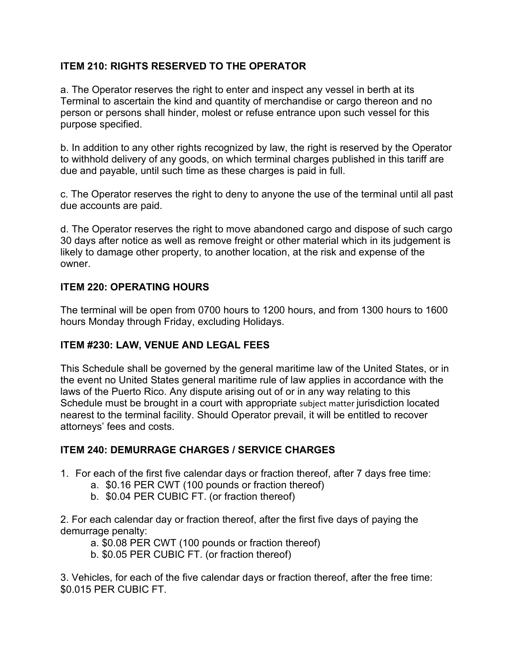#### **ITEM 210: RIGHTS RESERVED TO THE OPERATOR**

a. The Operator reserves the right to enter and inspect any vessel in berth at its Terminal to ascertain the kind and quantity of merchandise or cargo thereon and no person or persons shall hinder, molest or refuse entrance upon such vessel for this purpose specified.

b. In addition to any other rights recognized by law, the right is reserved by the Operator to withhold delivery of any goods, on which terminal charges published in this tariff are due and payable, until such time as these charges is paid in full.

c. The Operator reserves the right to deny to anyone the use of the terminal until all past due accounts are paid.

d. The Operator reserves the right to move abandoned cargo and dispose of such cargo 30 days after notice as well as remove freight or other material which in its judgement is likely to damage other property, to another location, at the risk and expense of the owner.

#### **ITEM 220: OPERATING HOURS**

The terminal will be open from 0700 hours to 1200 hours, and from 1300 hours to 1600 hours Monday through Friday, excluding Holidays.

#### **ITEM #230: LAW, VENUE AND LEGAL FEES**

This Schedule shall be governed by the general maritime law of the United States, or in the event no United States general maritime rule of law applies in accordance with the laws of the Puerto Rico. Any dispute arising out of or in any way relating to this Schedule must be brought in a court with appropriate subject matter jurisdiction located nearest to the terminal facility. Should Operator prevail, it will be entitled to recover attorneys' fees and costs.

#### **ITEM 240: DEMURRAGE CHARGES / SERVICE CHARGES**

- 1. For each of the first five calendar days or fraction thereof, after 7 days free time:
	- a. \$0.16 PER CWT (100 pounds or fraction thereof)
	- b. \$0.04 PER CUBIC FT. (or fraction thereof)

2. For each calendar day or fraction thereof, after the first five days of paying the demurrage penalty:

a. \$0.08 PER CWT (100 pounds or fraction thereof)

b. \$0.05 PER CUBIC FT. (or fraction thereof)

3. Vehicles, for each of the five calendar days or fraction thereof, after the free time: \$0.015 PER CUBIC FT.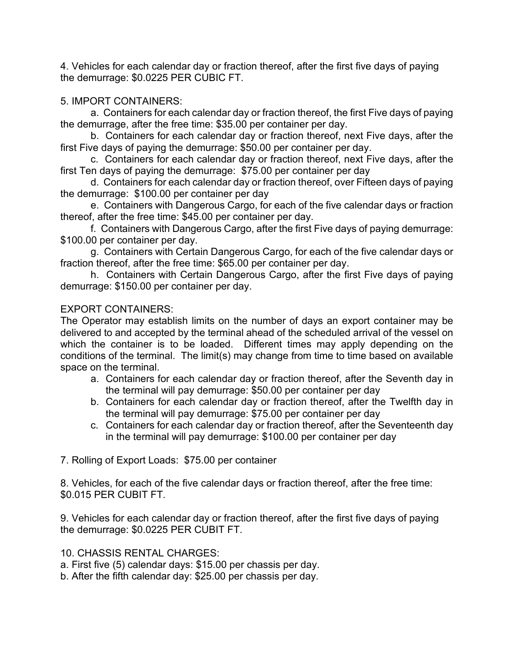4. Vehicles for each calendar day or fraction thereof, after the first five days of paying the demurrage: \$0.0225 PER CUBIC FT.

#### 5. IMPORT CONTAINERS:

a. Containers for each calendar day or fraction thereof, the first Five days of paying the demurrage, after the free time: \$35.00 per container per day.

b. Containers for each calendar day or fraction thereof, next Five days, after the first Five days of paying the demurrage: \$50.00 per container per day.

c. Containers for each calendar day or fraction thereof, next Five days, after the first Ten days of paying the demurrage: \$75.00 per container per day

d. Containers for each calendar day or fraction thereof, over Fifteen days of paying the demurrage: \$100.00 per container per day

e. Containers with Dangerous Cargo, for each of the five calendar days or fraction thereof, after the free time: \$45.00 per container per day.

f. Containers with Dangerous Cargo, after the first Five days of paying demurrage: \$100.00 per container per day.

g. Containers with Certain Dangerous Cargo, for each of the five calendar days or fraction thereof, after the free time: \$65.00 per container per day.

h. Containers with Certain Dangerous Cargo, after the first Five days of paying demurrage: \$150.00 per container per day.

#### EXPORT CONTAINERS:

The Operator may establish limits on the number of days an export container may be delivered to and accepted by the terminal ahead of the scheduled arrival of the vessel on which the container is to be loaded. Different times may apply depending on the conditions of the terminal. The limit(s) may change from time to time based on available space on the terminal.

- a. Containers for each calendar day or fraction thereof, after the Seventh day in the terminal will pay demurrage: \$50.00 per container per day
- b. Containers for each calendar day or fraction thereof, after the Twelfth day in the terminal will pay demurrage: \$75.00 per container per day
- c. Containers for each calendar day or fraction thereof, after the Seventeenth day in the terminal will pay demurrage: \$100.00 per container per day

7. Rolling of Export Loads: \$75.00 per container

8. Vehicles, for each of the five calendar days or fraction thereof, after the free time: \$0.015 PER CUBIT FT.

9. Vehicles for each calendar day or fraction thereof, after the first five days of paying the demurrage: \$0.0225 PER CUBIT FT.

10. CHASSIS RENTAL CHARGES:

a. First five (5) calendar days: \$15.00 per chassis per day.

b. After the fifth calendar day: \$25.00 per chassis per day.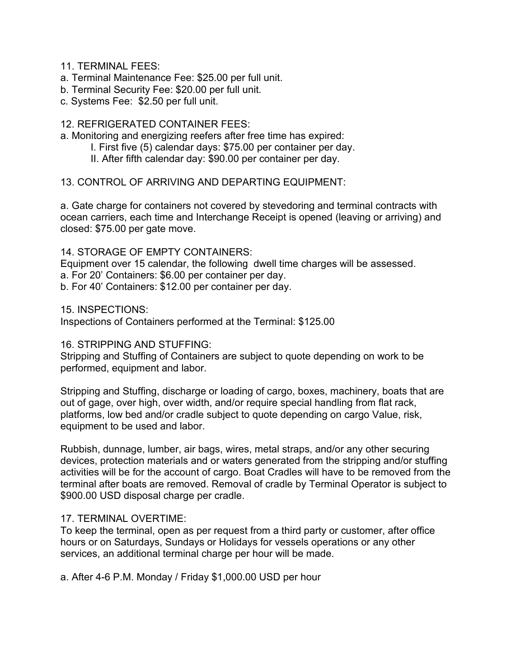11. TERMINAL FEES:

- a. Terminal Maintenance Fee: \$25.00 per full unit.
- b. Terminal Security Fee: \$20.00 per full unit.
- c. Systems Fee: \$2.50 per full unit.

#### 12. REFRIGERATED CONTAINER FEES:

a. Monitoring and energizing reefers after free time has expired:

- I. First five (5) calendar days: \$75.00 per container per day.
- II. After fifth calendar day: \$90.00 per container per day.

#### 13. CONTROL OF ARRIVING AND DEPARTING EQUIPMENT:

a. Gate charge for containers not covered by stevedoring and terminal contracts with ocean carriers, each time and Interchange Receipt is opened (leaving or arriving) and closed: \$75.00 per gate move.

#### 14. STORAGE OF EMPTY CONTAINERS:

Equipment over 15 calendar, the following dwell time charges will be assessed. a. For 20' Containers: \$6.00 per container per day.

b. For 40' Containers: \$12.00 per container per day.

15. INSPECTIONS:

Inspections of Containers performed at the Terminal: \$125.00

#### 16. STRIPPING AND STUFFING:

Stripping and Stuffing of Containers are subject to quote depending on work to be performed, equipment and labor.

Stripping and Stuffing, discharge or loading of cargo, boxes, machinery, boats that are out of gage, over high, over width, and/or require special handling from flat rack, platforms, low bed and/or cradle subject to quote depending on cargo Value, risk, equipment to be used and labor.

Rubbish, dunnage, lumber, air bags, wires, metal straps, and/or any other securing devices, protection materials and or waters generated from the stripping and/or stuffing activities will be for the account of cargo. Boat Cradles will have to be removed from the terminal after boats are removed. Removal of cradle by Terminal Operator is subject to \$900.00 USD disposal charge per cradle.

#### 17. TERMINAL OVERTIME:

To keep the terminal, open as per request from a third party or customer, after office hours or on Saturdays, Sundays or Holidays for vessels operations or any other services, an additional terminal charge per hour will be made.

a. After 4-6 P.M. Monday / Friday \$1,000.00 USD per hour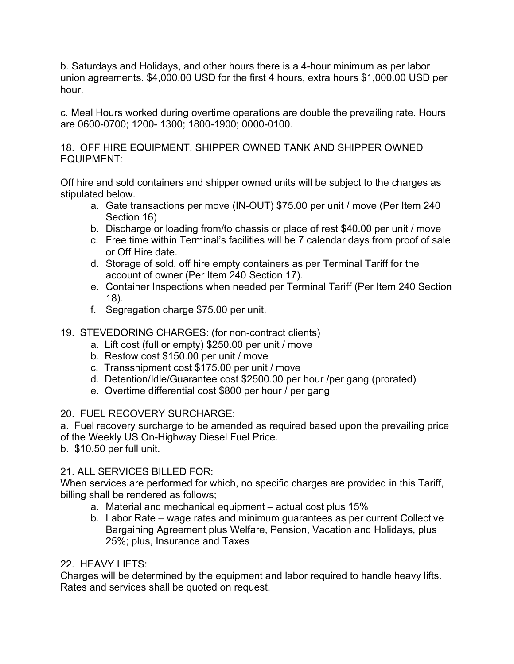b. Saturdays and Holidays, and other hours there is a 4-hour minimum as per labor union agreements. \$4,000.00 USD for the first 4 hours, extra hours \$1,000.00 USD per hour.

c. Meal Hours worked during overtime operations are double the prevailing rate. Hours are 0600-0700; 1200- 1300; 1800-1900; 0000-0100.

18. OFF HIRE EQUIPMENT, SHIPPER OWNED TANK AND SHIPPER OWNED EQUIPMENT:

Off hire and sold containers and shipper owned units will be subject to the charges as stipulated below.

- a. Gate transactions per move (IN-OUT) \$75.00 per unit / move (Per Item 240 Section 16)
- b. Discharge or loading from/to chassis or place of rest \$40.00 per unit / move
- c. Free time within Terminal's facilities will be 7 calendar days from proof of sale or Off Hire date.
- d. Storage of sold, off hire empty containers as per Terminal Tariff for the account of owner (Per Item 240 Section 17).
- e. Container Inspections when needed per Terminal Tariff (Per Item 240 Section 18).
- f. Segregation charge \$75.00 per unit.
- 19. STEVEDORING CHARGES: (for non-contract clients)
	- a. Lift cost (full or empty) \$250.00 per unit / move
	- b. Restow cost \$150.00 per unit / move
	- c. Transshipment cost \$175.00 per unit / move
	- d. Detention/Idle/Guarantee cost \$2500.00 per hour /per gang (prorated)
	- e. Overtime differential cost \$800 per hour / per gang

20. FUEL RECOVERY SURCHARGE:

a. Fuel recovery surcharge to be amended as required based upon the prevailing price of the Weekly US On-Highway Diesel Fuel Price.

b. \$10.50 per full unit.

#### 21. ALL SERVICES BILLED FOR:

When services are performed for which, no specific charges are provided in this Tariff, billing shall be rendered as follows;

- a. Material and mechanical equipment actual cost plus 15%
- b. Labor Rate wage rates and minimum guarantees as per current Collective Bargaining Agreement plus Welfare, Pension, Vacation and Holidays, plus 25%; plus, Insurance and Taxes

#### 22. HEAVY LIFTS:

Charges will be determined by the equipment and labor required to handle heavy lifts. Rates and services shall be quoted on request.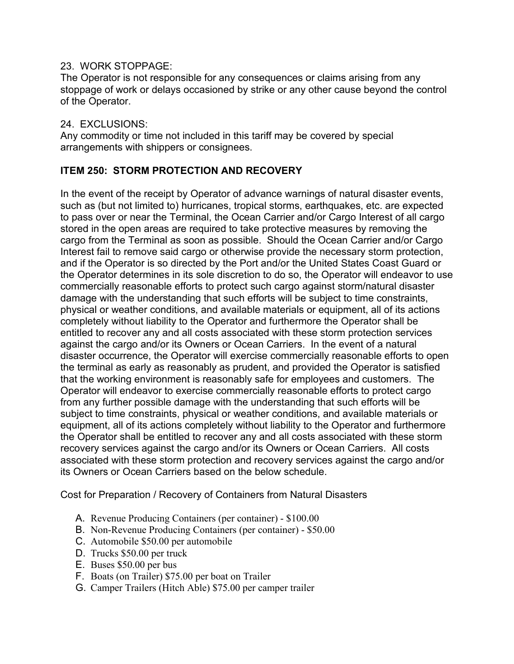#### 23. WORK STOPPAGE:

The Operator is not responsible for any consequences or claims arising from any stoppage of work or delays occasioned by strike or any other cause beyond the control of the Operator.

#### 24. EXCLUSIONS:

Any commodity or time not included in this tariff may be covered by special arrangements with shippers or consignees.

#### **ITEM 250: STORM PROTECTION AND RECOVERY**

In the event of the receipt by Operator of advance warnings of natural disaster events, such as (but not limited to) hurricanes, tropical storms, earthquakes, etc. are expected to pass over or near the Terminal, the Ocean Carrier and/or Cargo Interest of all cargo stored in the open areas are required to take protective measures by removing the cargo from the Terminal as soon as possible. Should the Ocean Carrier and/or Cargo Interest fail to remove said cargo or otherwise provide the necessary storm protection, and if the Operator is so directed by the Port and/or the United States Coast Guard or the Operator determines in its sole discretion to do so, the Operator will endeavor to use commercially reasonable efforts to protect such cargo against storm/natural disaster damage with the understanding that such efforts will be subject to time constraints, physical or weather conditions, and available materials or equipment, all of its actions completely without liability to the Operator and furthermore the Operator shall be entitled to recover any and all costs associated with these storm protection services against the cargo and/or its Owners or Ocean Carriers. In the event of a natural disaster occurrence, the Operator will exercise commercially reasonable efforts to open the terminal as early as reasonably as prudent, and provided the Operator is satisfied that the working environment is reasonably safe for employees and customers. The Operator will endeavor to exercise commercially reasonable efforts to protect cargo from any further possible damage with the understanding that such efforts will be subject to time constraints, physical or weather conditions, and available materials or equipment, all of its actions completely without liability to the Operator and furthermore the Operator shall be entitled to recover any and all costs associated with these storm recovery services against the cargo and/or its Owners or Ocean Carriers. All costs associated with these storm protection and recovery services against the cargo and/or its Owners or Ocean Carriers based on the below schedule.

Cost for Preparation / Recovery of Containers from Natural Disasters

- A. Revenue Producing Containers (per container) \$100.00
- B. Non-Revenue Producing Containers (per container) \$50.00
- C. Automobile \$50.00 per automobile
- D. Trucks \$50.00 per truck
- E. Buses \$50.00 per bus
- F. Boats (on Trailer) \$75.00 per boat on Trailer
- G. Camper Trailers (Hitch Able) \$75.00 per camper trailer